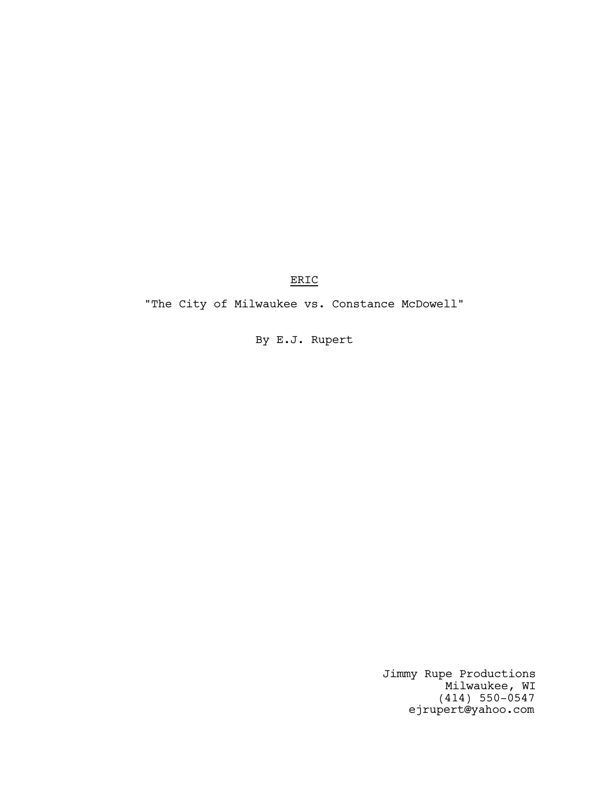ERIC

"The City of Milwaukee vs. Constance McDowell"

By E.J. Rupert

Jimmy Rupe Productions Milwaukee, WI (414) 550-0547 ejrupert@yahoo.com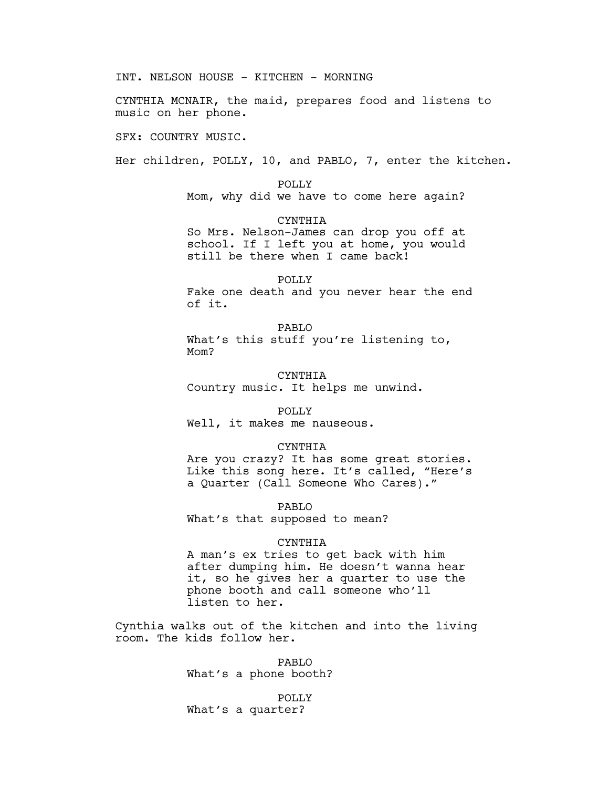CYNTHIA MCNAIR, the maid, prepares food and listens to music on her phone. SFX: COUNTRY MUSIC. Her children, POLLY, 10, and PABLO, 7, enter the kitchen. POLLY Mom, why did we have to come here again? CYNTHIA So Mrs. Nelson-James can drop you off at school. If I left you at home, you would still be there when I came back! POLLY Fake one death and you never hear the end of it. PABLO What's this stuff you're listening to, Mom? CYNTHIA Country music. It helps me unwind. POLLY Well, it makes me nauseous. CYNTHIA Are you crazy? It has some great stories. Like this song here. It's called, "Here's a Quarter (Call Someone Who Cares)." PABLO What's that supposed to mean? CYNTHIA A man's ex tries to get back with him after dumping him. He doesn't wanna hear it, so he gives her a quarter to use the phone booth and call someone who'll listen to her.

INT. NELSON HOUSE - KITCHEN - MORNING

Cynthia walks out of the kitchen and into the living room. The kids follow her.

> PABLO What's a phone booth?

POLLY What's a quarter?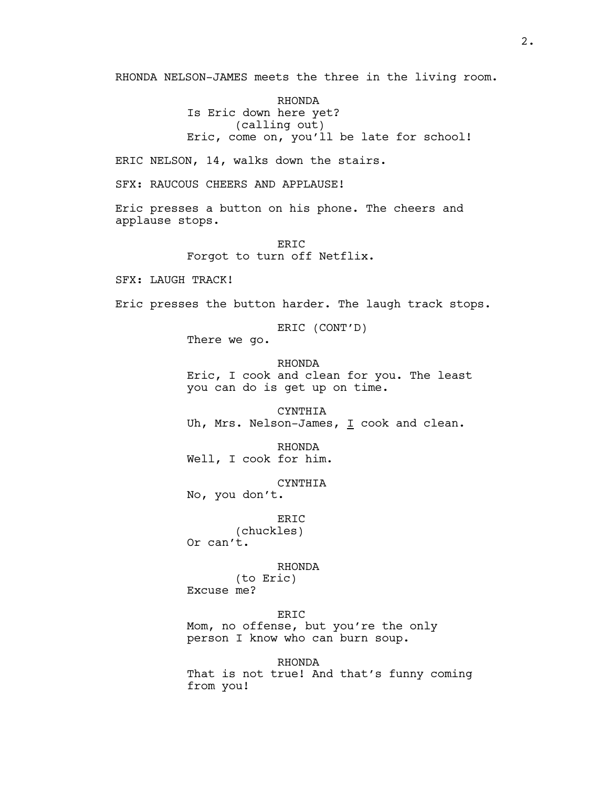RHONDA NELSON-JAMES meets the three in the living room.

RHONDA Is Eric down here yet? (calling out) Eric, come on, you'll be late for school!

ERIC NELSON, 14, walks down the stairs.

SFX: RAUCOUS CHEERS AND APPLAUSE!

Eric presses a button on his phone. The cheers and applause stops.

> ERIC Forgot to turn off Netflix.

SFX: LAUGH TRACK!

Eric presses the button harder. The laugh track stops.

ERIC (CONT'D)

There we go.

RHONDA Eric, I cook and clean for you. The least you can do is get up on time.

CYNTHIA Uh, Mrs. Nelson-James, I cook and clean.

RHONDA Well, I cook for him.

CYNTHIA

No, you don't.

ERIC

(chuckles) Or can't.

RHONDA

(to Eric) Excuse me?

ERIC

Mom, no offense, but you're the only person I know who can burn soup.

RHONDA

That is not true! And that's funny coming from you!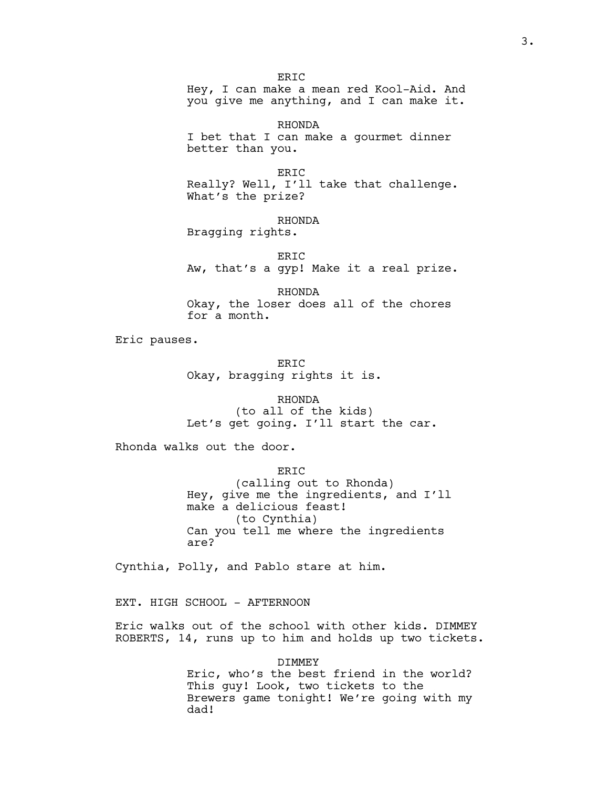**ERTC** Hey, I can make a mean red Kool-Aid. And you give me anything, and I can make it.

RHONDA I bet that I can make a gourmet dinner better than you.

ERIC Really? Well, I'll take that challenge. What's the prize?

RHONDA Bragging rights.

ERIC Aw, that's a gyp! Make it a real prize.

RHONDA Okay, the loser does all of the chores for a month.

Eric pauses.

**ERTC** Okay, bragging rights it is.

RHONDA (to all of the kids) Let's get going. I'll start the car.

Rhonda walks out the door.

ERIC (calling out to Rhonda) Hey, give me the ingredients, and I'll make a delicious feast! (to Cynthia) Can you tell me where the ingredients are?

Cynthia, Polly, and Pablo stare at him.

EXT. HIGH SCHOOL - AFTERNOON

Eric walks out of the school with other kids. DIMMEY ROBERTS, 14, runs up to him and holds up two tickets.

> DIMMEY Eric, who's the best friend in the world? This guy! Look, two tickets to the Brewers game tonight! We're going with my dad!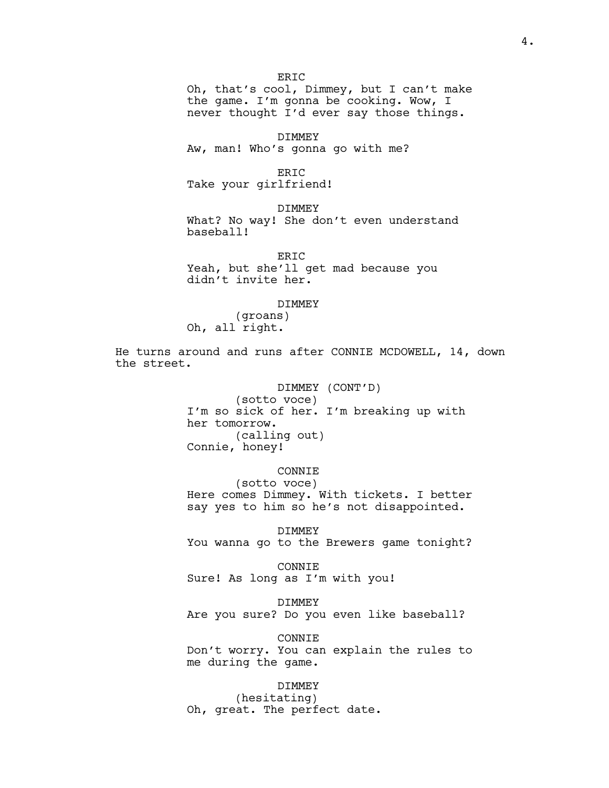Oh, that's cool, Dimmey, but I can't make the game. I'm gonna be cooking. Wow, I never thought I'd ever say those things.

DIMMEY

**ERTC** 

Aw, man! Who's gonna go with me?

ERIC

Take your girlfriend!

DIMMEY What? No way! She don't even understand baseball!

ERIC Yeah, but she'll get mad because you didn't invite her.

### DIMMEY

(groans) Oh, all right.

He turns around and runs after CONNIE MCDOWELL, 14, down the street.

## DIMMEY (CONT'D)

(sotto voce) I'm so sick of her. I'm breaking up with her tomorrow. (calling out) Connie, honey!

# CONNIE

(sotto voce) Here comes Dimmey. With tickets. I better say yes to him so he's not disappointed.

DIMMEY You wanna go to the Brewers game tonight?

CONNIE Sure! As long as I'm with you!

DIMMEY Are you sure? Do you even like baseball?

CONNIE Don't worry. You can explain the rules to me during the game.

### DIMMEY

(hesitating) Oh, great. The perfect date.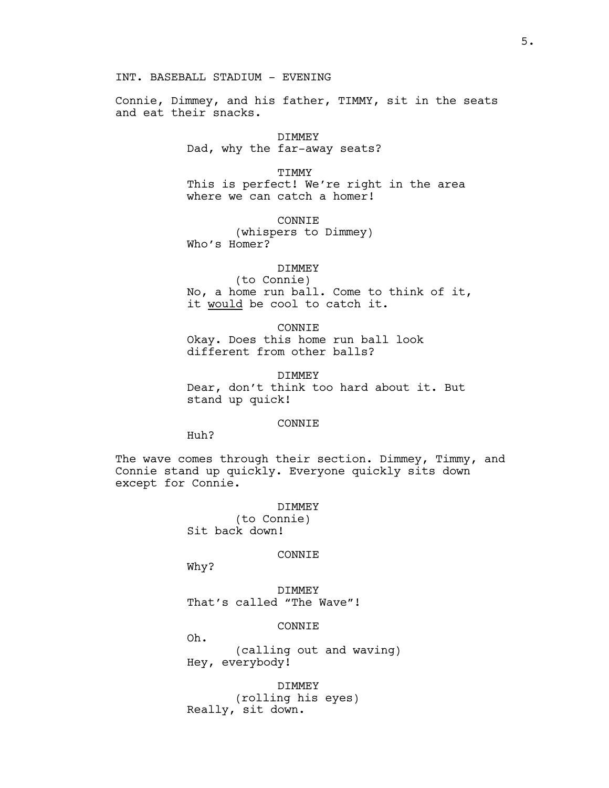INT. BASEBALL STADIUM - EVENING

Connie, Dimmey, and his father, TIMMY, sit in the seats and eat their snacks.

> DIMMEY Dad, why the far-away seats?

> > TIMMY

This is perfect! We're right in the area where we can catch a homer!

CONNIE

(whispers to Dimmey) Who's Homer?

DIMMEY

(to Connie) No, a home run ball. Come to think of it, it would be cool to catch it.

CONNIE Okay. Does this home run ball look different from other balls?

DIMMEY Dear, don't think too hard about it. But stand up quick!

## CONNIE

Huh?

The wave comes through their section. Dimmey, Timmy, and Connie stand up quickly. Everyone quickly sits down except for Connie.

> DIMMEY (to Connie) Sit back down!

#### CONNIE

Why?

DIMMEY That's called "The Wave"!

CONNIE

Oh.

(calling out and waving) Hey, everybody!

DIMMEY (rolling his eyes) Really, sit down.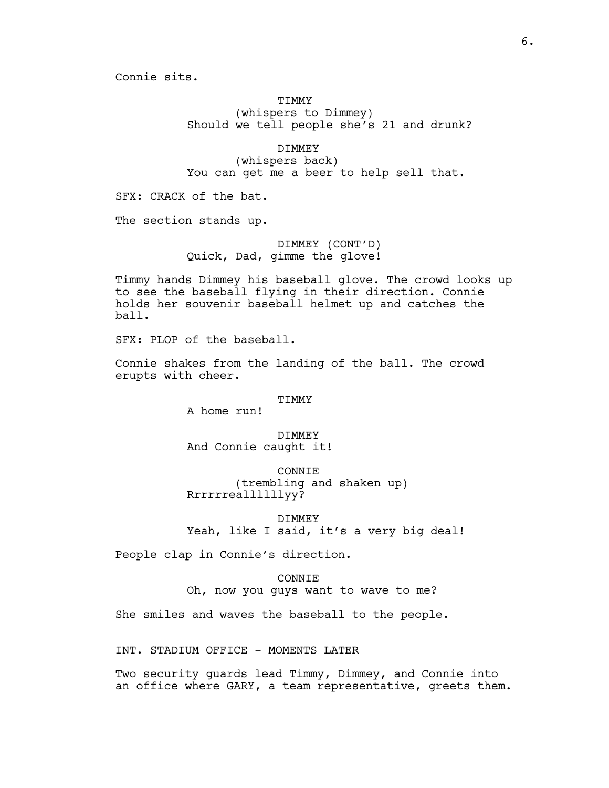Connie sits.

# **TIMMY** (whispers to Dimmey) Should we tell people she's 21 and drunk?

DIMMEY (whispers back) You can get me a beer to help sell that.

SFX: CRACK of the bat.

The section stands up.

DIMMEY (CONT'D) Quick, Dad, gimme the glove!

Timmy hands Dimmey his baseball glove. The crowd looks up to see the baseball flying in their direction. Connie holds her souvenir baseball helmet up and catches the ball.

SFX: PLOP of the baseball.

Connie shakes from the landing of the ball. The crowd erupts with cheer.

## TIMMY

A home run!

DIMMEY And Connie caught it!

CONNIE (trembling and shaken up) Rrrrrreallllllyy?

DIMMEY Yeah, like I said, it's a very big deal!

People clap in Connie's direction.

### CONNIE

Oh, now you guys want to wave to me?

She smiles and waves the baseball to the people.

INT. STADIUM OFFICE - MOMENTS LATER

Two security guards lead Timmy, Dimmey, and Connie into an office where GARY, a team representative, greets them.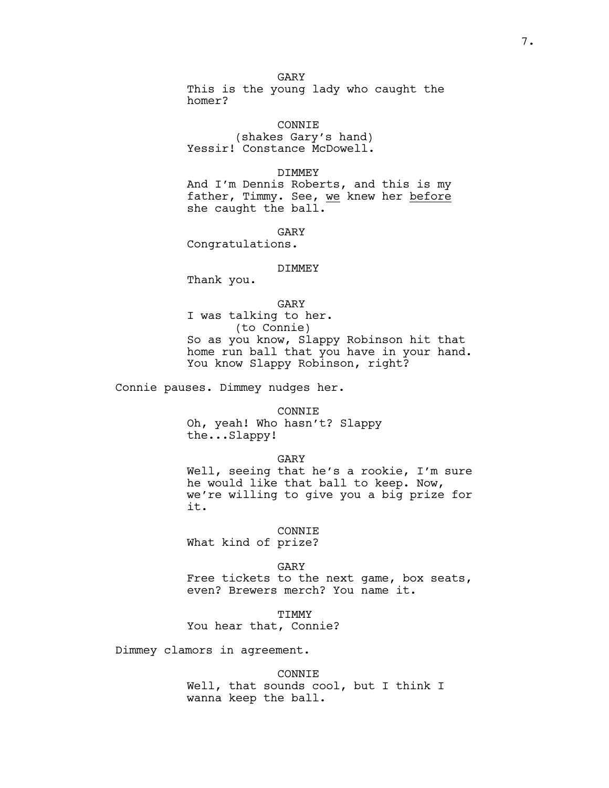## GARY

This is the young lady who caught the homer?

CONNIE (shakes Gary's hand) Yessir! Constance McDowell.

## DIMMEY

And I'm Dennis Roberts, and this is my father, Timmy. See, we knew her before she caught the ball.

GARY

Congratulations.

### DIMMEY

Thank you.

GARY I was talking to her. (to Connie) So as you know, Slappy Robinson hit that home run ball that you have in your hand. You know Slappy Robinson, right?

Connie pauses. Dimmey nudges her.

CONNIE Oh, yeah! Who hasn't? Slappy the...Slappy!

GARY

Well, seeing that he's a rookie, I'm sure he would like that ball to keep. Now, we're willing to give you a big prize for it.

CONNIE

What kind of prize?

GARY

Free tickets to the next game, box seats, even? Brewers merch? You name it.

TIMMY

You hear that, Connie?

Dimmey clamors in agreement.

CONNIE Well, that sounds cool, but I think I wanna keep the ball.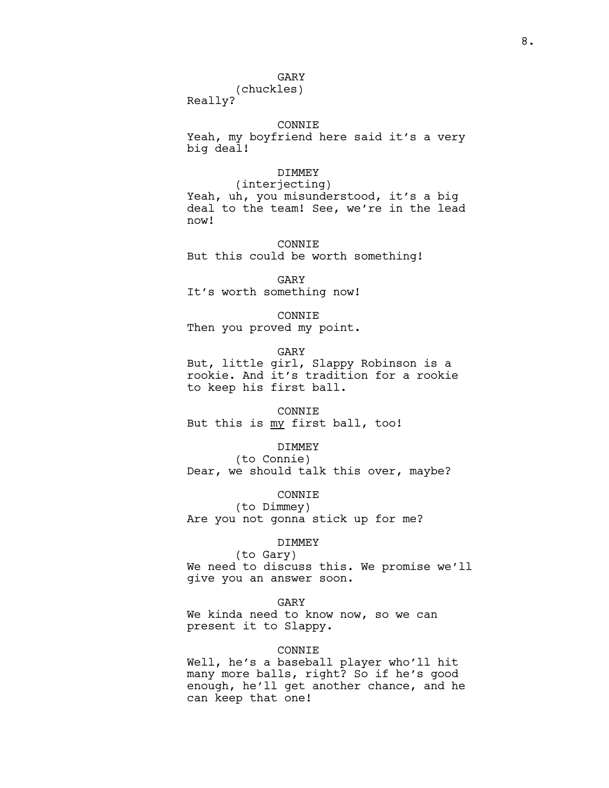# GARY

# (chuckles)

Really?

# CONNIE

Yeah, my boyfriend here said it's a very big deal!

## DIMMEY

(interjecting) Yeah, uh, you misunderstood, it's a big deal to the team! See, we're in the lead now!

CONNIE But this could be worth something!

GARY It's worth something now!

CONNIE

Then you proved my point.

GARY

But, little girl, Slappy Robinson is a rookie. And it's tradition for a rookie to keep his first ball.

### CONNIE

But this is my first ball, too!

## DIMMEY

(to Connie) Dear, we should talk this over, maybe?

# CONNIE

(to Dimmey) Are you not gonna stick up for me?

#### DIMMEY

(to Gary) We need to discuss this. We promise we'll give you an answer soon.

### GARY

We kinda need to know now, so we can present it to Slappy.

# CONNIE

Well, he's a baseball player who'll hit many more balls, right? So if he's good enough, he'll get another chance, and he can keep that one!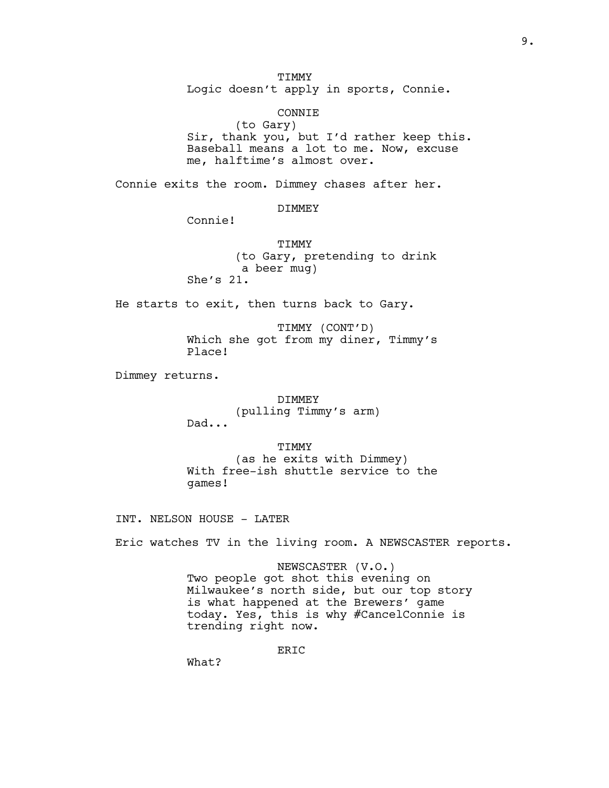**TIMMY** 

Logic doesn't apply in sports, Connie.

# CONNIE

(to Gary) Sir, thank you, but I'd rather keep this. Baseball means a lot to me. Now, excuse me, halftime's almost over.

Connie exits the room. Dimmey chases after her.

# DIMMEY

Connie!

**TIMMY** (to Gary, pretending to drink a beer mug) She's 21.

He starts to exit, then turns back to Gary.

TIMMY (CONT'D) Which she got from my diner, Timmy's Place!

Dimmey returns.

DIMMEY (pulling Timmy's arm) Dad...

TIMMY (as he exits with Dimmey) With free-ish shuttle service to the games!

INT. NELSON HOUSE - LATER

Eric watches TV in the living room. A NEWSCASTER reports.

NEWSCASTER (V.O.) Two people got shot this evening on Milwaukee's north side, but our top story is what happened at the Brewers' game today. Yes, this is why #CancelConnie is trending right now.

ERIC

What?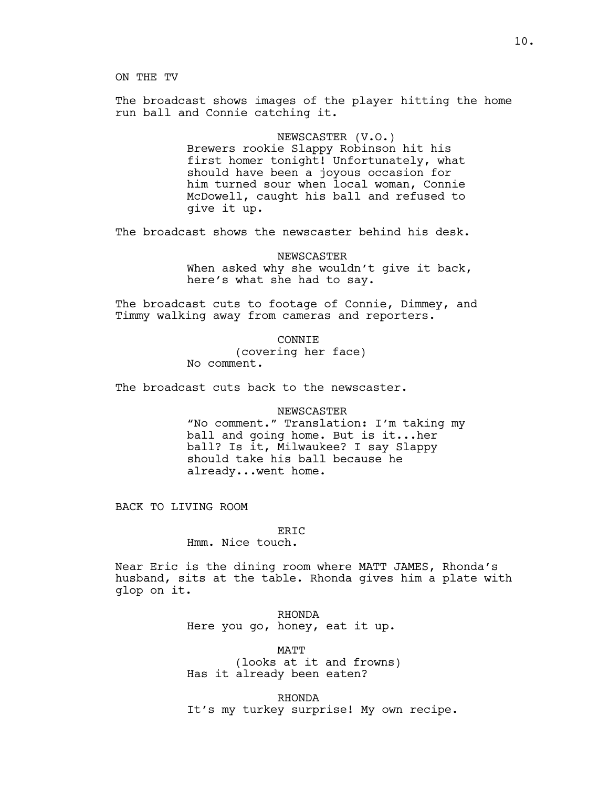ON THE TV

The broadcast shows images of the player hitting the home run ball and Connie catching it.

> NEWSCASTER (V.O.) Brewers rookie Slappy Robinson hit his

first homer tonight! Unfortunately, what should have been a joyous occasion for him turned sour when local woman, Connie McDowell, caught his ball and refused to give it up.

The broadcast shows the newscaster behind his desk.

NEWSCASTER When asked why she wouldn't give it back, here's what she had to say.

The broadcast cuts to footage of Connie, Dimmey, and Timmy walking away from cameras and reporters.

> CONNIE (covering her face) No comment.

The broadcast cuts back to the newscaster.

## NEWSCASTER

"No comment." Translation: I'm taking my ball and going home. But is it...her ball? Is it, Milwaukee? I say Slappy should take his ball because he already...went home.

BACK TO LIVING ROOM

ERIC Hmm. Nice touch.

Near Eric is the dining room where MATT JAMES, Rhonda's husband, sits at the table. Rhonda gives him a plate with glop on it.

> RHONDA Here you go, honey, eat it up.

MATT (looks at it and frowns) Has it already been eaten?

RHONDA It's my turkey surprise! My own recipe.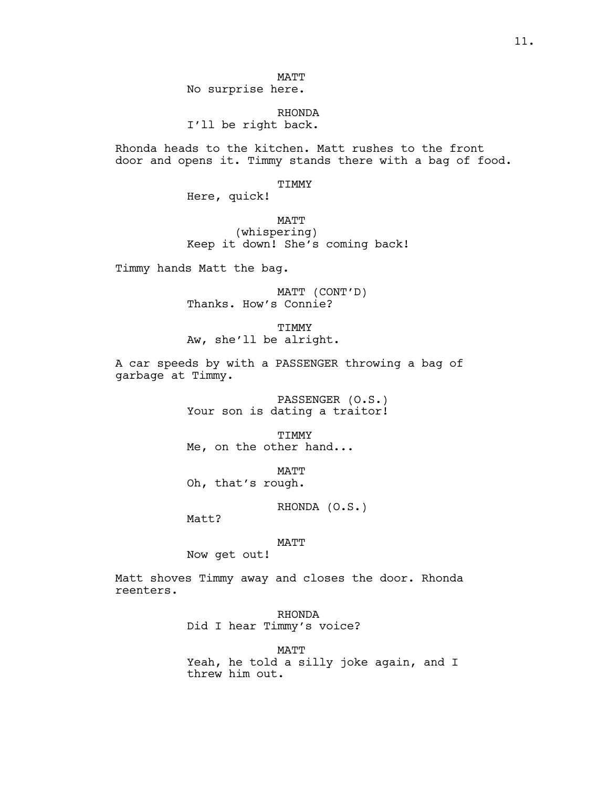MATT No surprise here.

RHONDA I'll be right back.

Rhonda heads to the kitchen. Matt rushes to the front door and opens it. Timmy stands there with a bag of food.

TIMMY

Here, quick!

MATT (whispering) Keep it down! She's coming back!

Timmy hands Matt the bag.

MATT (CONT'D) Thanks. How's Connie?

TIMMY Aw, she'll be alright.

A car speeds by with a PASSENGER throwing a bag of garbage at Timmy.

> PASSENGER (O.S.) Your son is dating a traitor!

TIMMY Me, on the other hand...

MATT Oh, that's rough.

RHONDA (O.S.)

Matt?

MATT

Now get out!

Matt shoves Timmy away and closes the door. Rhonda reenters.

> RHONDA Did I hear Timmy's voice?

> > MATT

Yeah, he told a silly joke again, and I threw him out.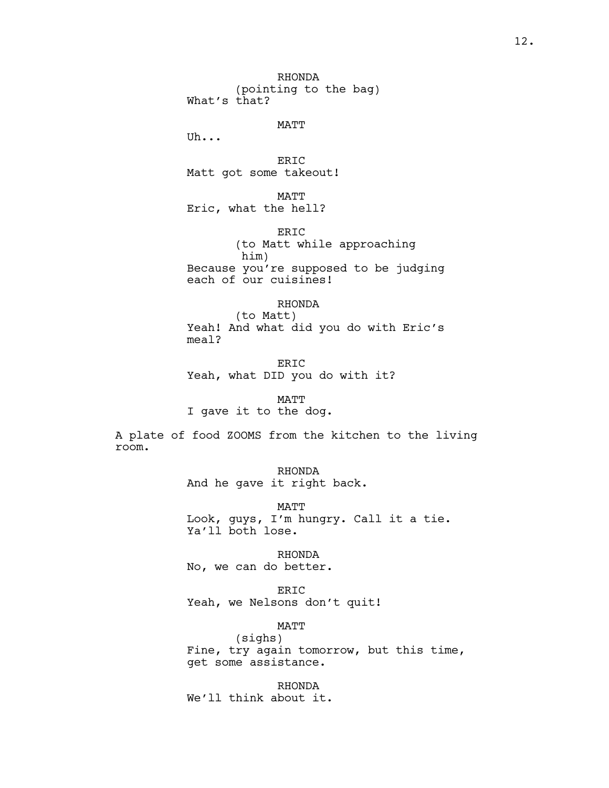RHONDA (pointing to the bag) What's that?

MATT

Uh...

ERIC Matt got some takeout!

MATT Eric, what the hell?

ERIC (to Matt while approaching him) Because you're supposed to be judging each of our cuisines!

# RHONDA

(to Matt) Yeah! And what did you do with Eric's meal?

**ERTC** Yeah, what DID you do with it?

MATT

I gave it to the dog.

A plate of food ZOOMS from the kitchen to the living room.

> RHONDA And he gave it right back.

MATT Look, guys, I'm hungry. Call it a tie. Ya'll both lose.

RHONDA No, we can do better.

ERIC Yeah, we Nelsons don't quit!

MATT

(sighs) Fine, try again tomorrow, but this time, get some assistance.

RHONDA We'll think about it.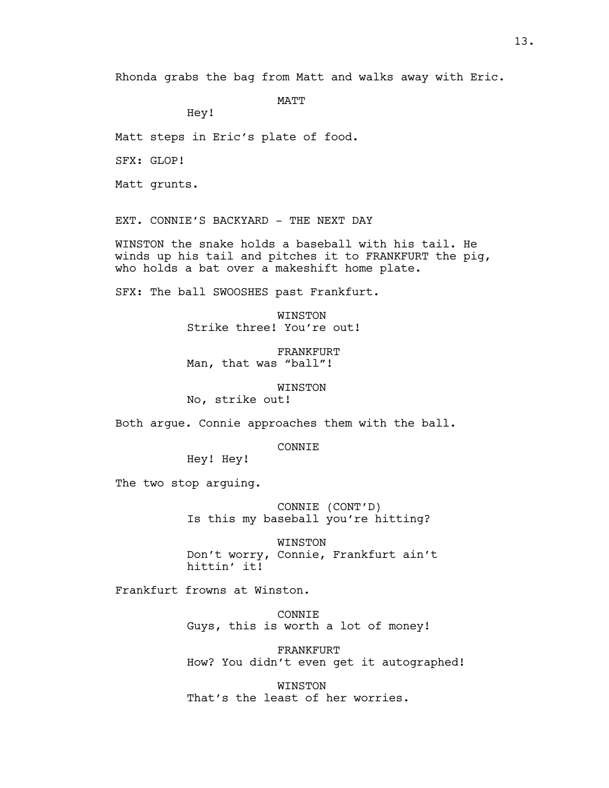```
MATT
```
Hey!

Matt steps in Eric's plate of food.

SFX: GLOP!

Matt grunts.

EXT. CONNIE'S BACKYARD - THE NEXT DAY

WINSTON the snake holds a baseball with his tail. He winds up his tail and pitches it to FRANKFURT the pig, who holds a bat over a makeshift home plate.

SFX: The ball SWOOSHES past Frankfurt.

WINSTON Strike three! You're out!

FRANKFURT Man, that was "ball"!

WINSTON

No, strike out!

Both argue. Connie approaches them with the ball.

CONNIE

Hey! Hey!

The two stop arguing.

CONNIE (CONT'D) Is this my baseball you're hitting?

WINSTON Don't worry, Connie, Frankfurt ain't hittin' it!

Frankfurt frowns at Winston.

CONNIE Guys, this is worth a lot of money!

FRANKFURT How? You didn't even get it autographed!

WINSTON That's the least of her worries.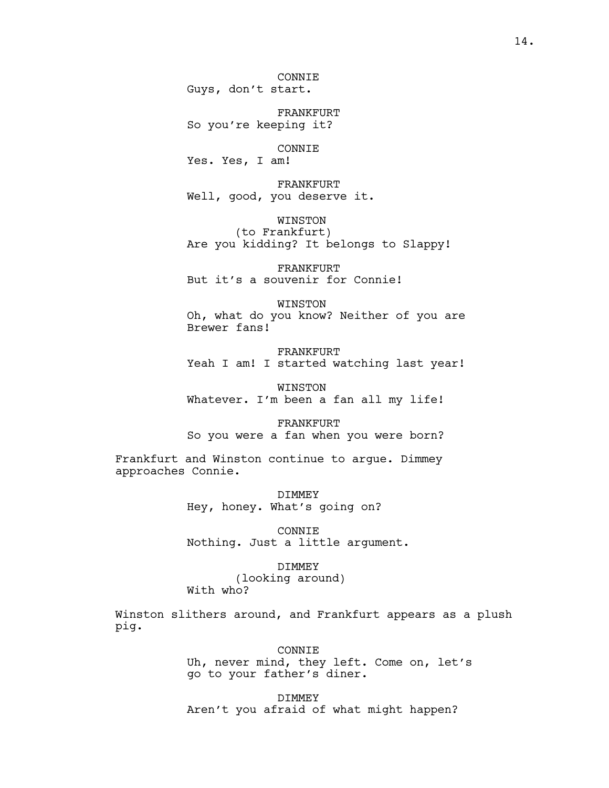14.

CONNIE Guys, don't start.

FRANKFURT So you're keeping it?

# CONNIE

Yes. Yes, I am!

FRANKFURT Well, good, you deserve it.

WINSTON

(to Frankfurt) Are you kidding? It belongs to Slappy!

FRANKFURT But it's a souvenir for Connie!

WINSTON Oh, what do you know? Neither of you are Brewer fans!

FRANKFURT Yeah I am! I started watching last year!

WINSTON Whatever. I'm been a fan all my life!

FRANKFURT So you were a fan when you were born?

Frankfurt and Winston continue to argue. Dimmey approaches Connie.

> **DIMMEY** Hey, honey. What's going on?

CONNIE Nothing. Just a little argument.

# DIMMEY

(looking around) With who?

Winston slithers around, and Frankfurt appears as a plush pig.

## CONNIE

Uh, never mind, they left. Come on, let's go to your father's diner.

DIMMEY Aren't you afraid of what might happen?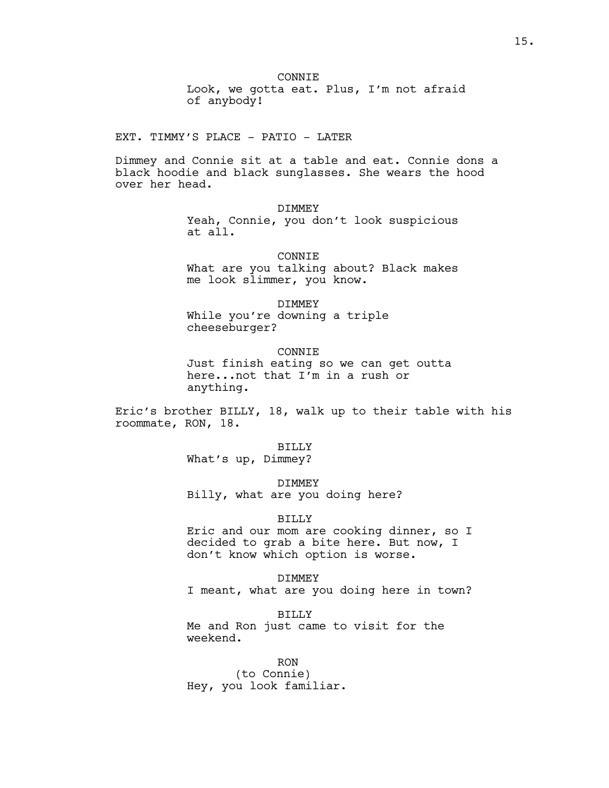**CONNTE** Look, we gotta eat. Plus, I'm not afraid of anybody!

EXT. TIMMY'S PLACE - PATIO - LATER

Dimmey and Connie sit at a table and eat. Connie dons a black hoodie and black sunglasses. She wears the hood over her head.

DIMMEY

Yeah, Connie, you don't look suspicious at all.

CONNIE

What are you talking about? Black makes me look slimmer, you know.

DIMMEY

While you're downing a triple cheeseburger?

CONNIE

Just finish eating so we can get outta here...not that I'm in a rush or anything.

Eric's brother BILLY, 18, walk up to their table with his roommate, RON, 18.

> BILLY What's up, Dimmey?

> > DIMMEY

Billy, what are you doing here?

# BILLY

Eric and our mom are cooking dinner, so I decided to grab a bite here. But now, I don't know which option is worse.

DIMMEY I meant, what are you doing here in town?

BILLY Me and Ron just came to visit for the weekend.

RON (to Connie) Hey, you look familiar.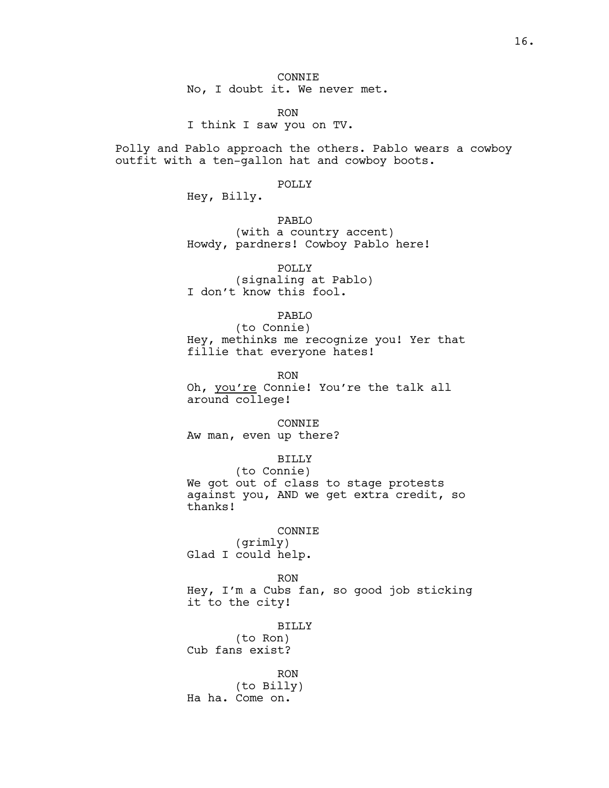RON I think I saw you on TV.

Polly and Pablo approach the others. Pablo wears a cowboy outfit with a ten-gallon hat and cowboy boots.

#### POLLY

Hey, Billy.

PABLO (with a country accent) Howdy, pardners! Cowboy Pablo here!

POLLY (signaling at Pablo) I don't know this fool.

PABLO

(to Connie) Hey, methinks me recognize you! Yer that fillie that everyone hates!

RON

Oh, you're Connie! You're the talk all around college!

### CONNIE

Aw man, even up there?

## BILLY

(to Connie) We got out of class to stage protests against you, AND we get extra credit, so thanks!

## CONNIE

(grimly) Glad I could help.

RON Hey, I'm a Cubs fan, so good job sticking it to the city!

#### BILLY

(to Ron) Cub fans exist?

RON (to Billy) Ha ha. Come on.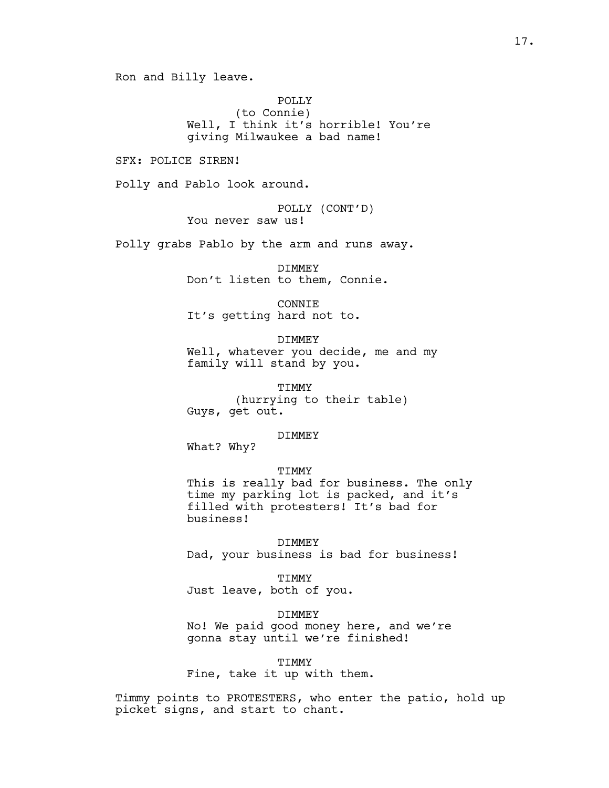Ron and Billy leave.

POLLY (to Connie) Well, I think it's horrible! You're giving Milwaukee a bad name!

SFX: POLICE SIREN!

Polly and Pablo look around.

POLLY (CONT'D) You never saw us!

Polly grabs Pablo by the arm and runs away.

DIMMEY Don't listen to them, Connie.

CONNIE It's getting hard not to.

DIMMEY Well, whatever you decide, me and my family will stand by you.

TIMMY (hurrying to their table) Guys, get out.

#### DIMMEY

What? Why?

### TIMMY

This is really bad for business. The only time my parking lot is packed, and it's filled with protesters! It's bad for business!

DIMMEY Dad, your business is bad for business!

TIMMY Just leave, both of you.

DIMMEY No! We paid good money here, and we're gonna stay until we're finished!

TIMMY

Fine, take it up with them.

Timmy points to PROTESTERS, who enter the patio, hold up picket signs, and start to chant.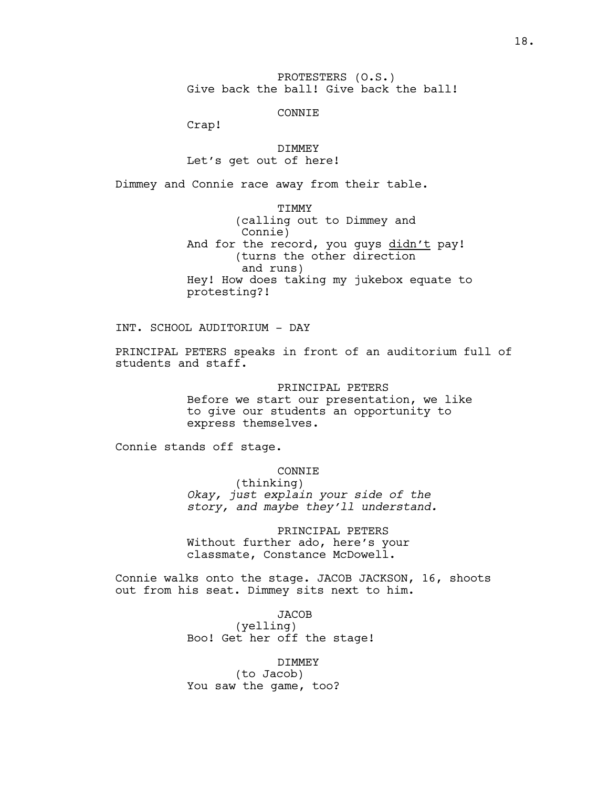PROTESTERS (O.S.) Give back the ball! Give back the ball!

CONNIE

Crap!

DIMMEY Let's get out of here!

Dimmey and Connie race away from their table.

TIMMY (calling out to Dimmey and Connie) And for the record, you guys didn't pay! (turns the other direction and runs) Hey! How does taking my jukebox equate to protesting?!

INT. SCHOOL AUDITORIUM - DAY

PRINCIPAL PETERS speaks in front of an auditorium full of students and staff.

> PRINCIPAL PETERS Before we start our presentation, we like to give our students an opportunity to express themselves.

Connie stands off stage.

CONNIE

(thinking) *Okay, just explain your side of the story, and maybe they'll understand.*

PRINCIPAL PETERS Without further ado, here's your classmate, Constance McDowell.

Connie walks onto the stage. JACOB JACKSON, 16, shoots out from his seat. Dimmey sits next to him.

> **JACOB** (yelling) Boo! Get her off the stage!

DIMMEY (to Jacob) You saw the game, too?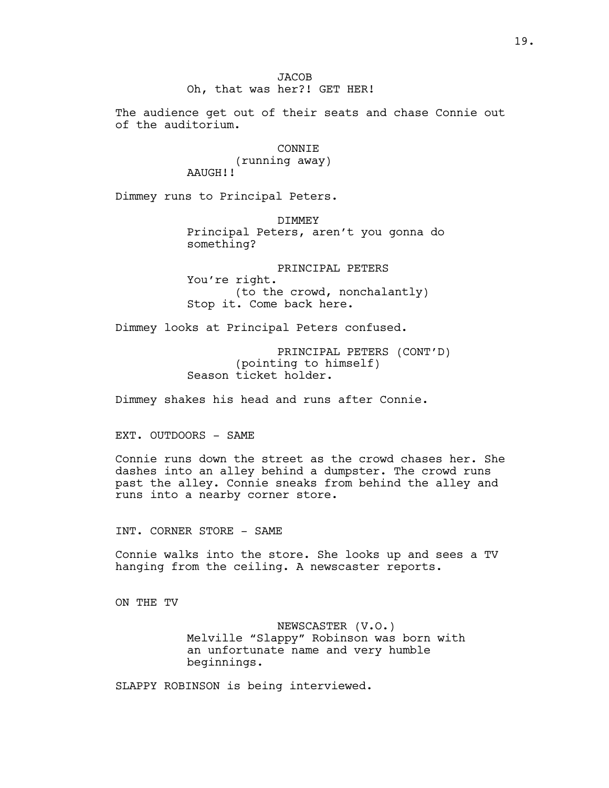The audience get out of their seats and chase Connie out of the auditorium.

# CONNIE

(running away) AAUGH!!

Dimmey runs to Principal Peters.

DIMMEY Principal Peters, aren't you gonna do something?

PRINCIPAL PETERS You're right. (to the crowd, nonchalantly) Stop it. Come back here.

Dimmey looks at Principal Peters confused.

PRINCIPAL PETERS (CONT'D) (pointing to himself) Season ticket holder.

Dimmey shakes his head and runs after Connie.

EXT. OUTDOORS - SAME

Connie runs down the street as the crowd chases her. She dashes into an alley behind a dumpster. The crowd runs past the alley. Connie sneaks from behind the alley and runs into a nearby corner store.

INT. CORNER STORE - SAME

Connie walks into the store. She looks up and sees a TV hanging from the ceiling. A newscaster reports.

ON THE TV

NEWSCASTER (V.O.) Melville "Slappy" Robinson was born with an unfortunate name and very humble beginnings.

SLAPPY ROBINSON is being interviewed.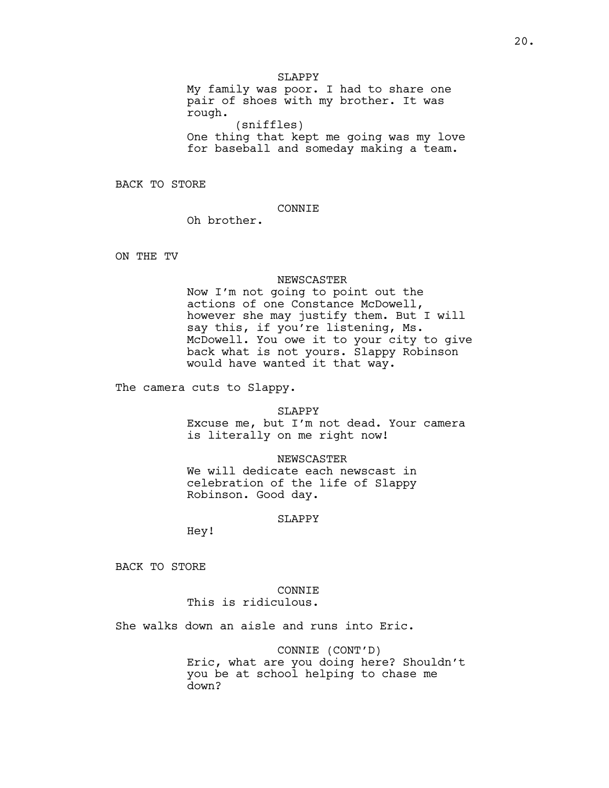SLAPPY

My family was poor. I had to share one pair of shoes with my brother. It was rough. (sniffles) One thing that kept me going was my love for baseball and someday making a team.

BACK TO STORE

## CONNIE

Oh brother.

ON THE TV

### NEWSCASTER

Now I'm not going to point out the actions of one Constance McDowell, however she may justify them. But I will say this, if you're listening, Ms. McDowell. You owe it to your city to give back what is not yours. Slappy Robinson would have wanted it that way.

The camera cuts to Slappy.

## SLAPPY

Excuse me, but I'm not dead. Your camera is literally on me right now!

## NEWSCASTER

We will dedicate each newscast in celebration of the life of Slappy Robinson. Good day.

### SLAPPY

Hey!

BACK TO STORE

# CONNIE

This is ridiculous.

She walks down an aisle and runs into Eric.

CONNIE (CONT'D) Eric, what are you doing here? Shouldn't you be at school helping to chase me down?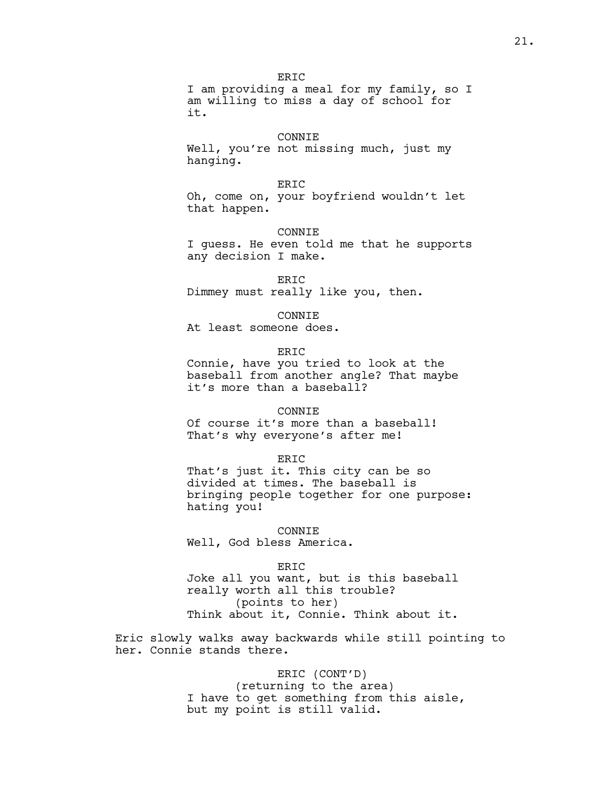**ERTC** I am providing a meal for my family, so I am willing to miss a day of school for it.

## CONNIE

Well, you're not missing much, just my hanging.

## **ERTC**

Oh, come on, your boyfriend wouldn't let that happen.

### CONNIE

I guess. He even told me that he supports any decision I make.

ERIC Dimmey must really like you, then.

**CONNTE** 

At least someone does.

ERIC

Connie, have you tried to look at the baseball from another angle? That maybe it's more than a baseball?

## CONNIE

Of course it's more than a baseball! That's why everyone's after me!

#### ERIC

That's just it. This city can be so divided at times. The baseball is bringing people together for one purpose: hating you!

CONNIE Well, God bless America.

#### ERIC

Joke all you want, but is this baseball really worth all this trouble? (points to her) Think about it, Connie. Think about it.

Eric slowly walks away backwards while still pointing to her. Connie stands there.

> ERIC (CONT'D) (returning to the area) I have to get something from this aisle, but my point is still valid.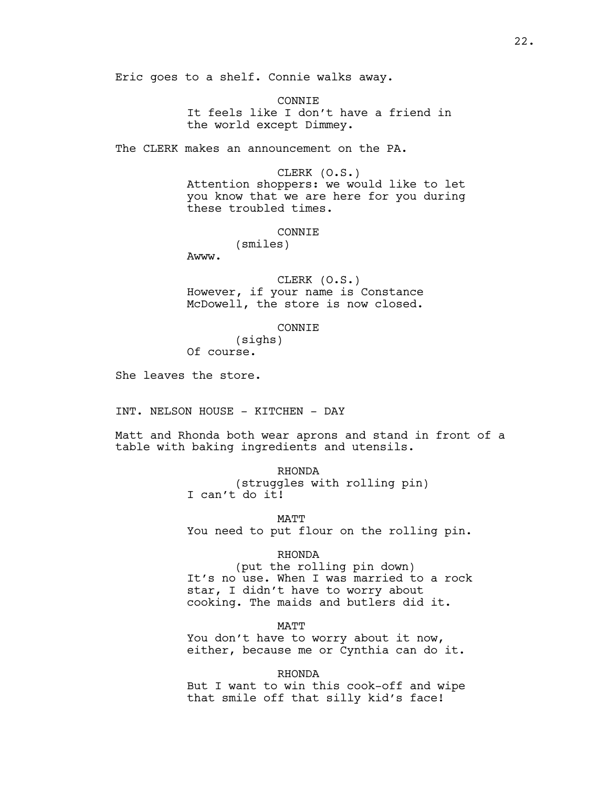Eric goes to a shelf. Connie walks away.

**CONNTE** It feels like I don't have a friend in the world except Dimmey.

The CLERK makes an announcement on the PA.

## CLERK (O.S.)

Attention shoppers: we would like to let you know that we are here for you during these troubled times.

### **CONNTE**

(smiles)

Awww.

CLERK (O.S.) However, if your name is Constance McDowell, the store is now closed.

#### CONNIE

(sighs) Of course.

She leaves the store.

INT. NELSON HOUSE - KITCHEN - DAY

Matt and Rhonda both wear aprons and stand in front of a table with baking ingredients and utensils.

RHONDA

(struggles with rolling pin) I can't do it!

**MATT** 

You need to put flour on the rolling pin.

### RHONDA

(put the rolling pin down) It's no use. When I was married to a rock star, I didn't have to worry about cooking. The maids and butlers did it.

MATT

You don't have to worry about it now, either, because me or Cynthia can do it.

RHONDA

But I want to win this cook-off and wipe that smile off that silly kid's face!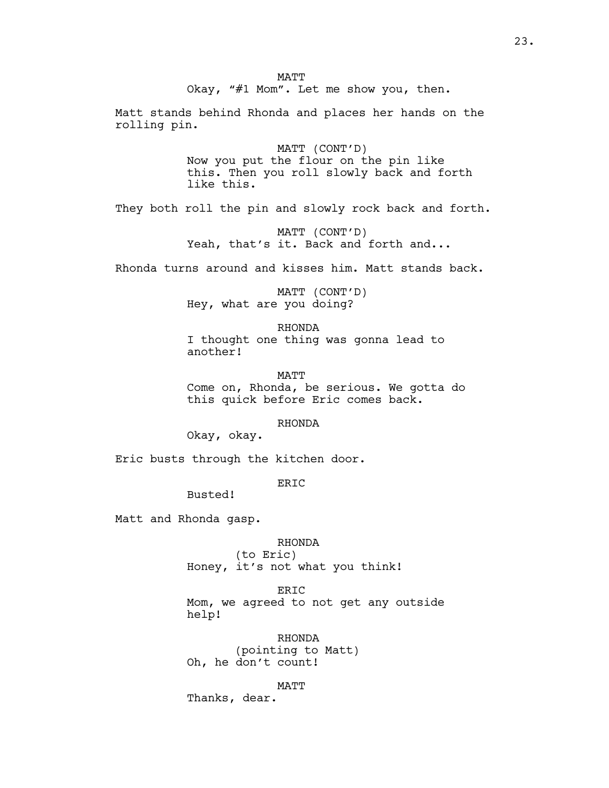Matt stands behind Rhonda and places her hands on the rolling pin.

> MATT (CONT'D) Now you put the flour on the pin like this. Then you roll slowly back and forth like this.

They both roll the pin and slowly rock back and forth.

MATT (CONT'D) Yeah, that's it. Back and forth and...

Rhonda turns around and kisses him. Matt stands back.

MATT (CONT'D) Hey, what are you doing?

RHONDA I thought one thing was gonna lead to another!

MATT Come on, Rhonda, be serious. We gotta do this quick before Eric comes back.

RHONDA

Okay, okay.

Eric busts through the kitchen door.

ERIC

Busted!

Matt and Rhonda gasp.

# RHONDA

(to Eric) Honey, it's not what you think!

ERIC Mom, we agreed to not get any outside help!

RHONDA (pointing to Matt) Oh, he don't count!

MATT

Thanks, dear.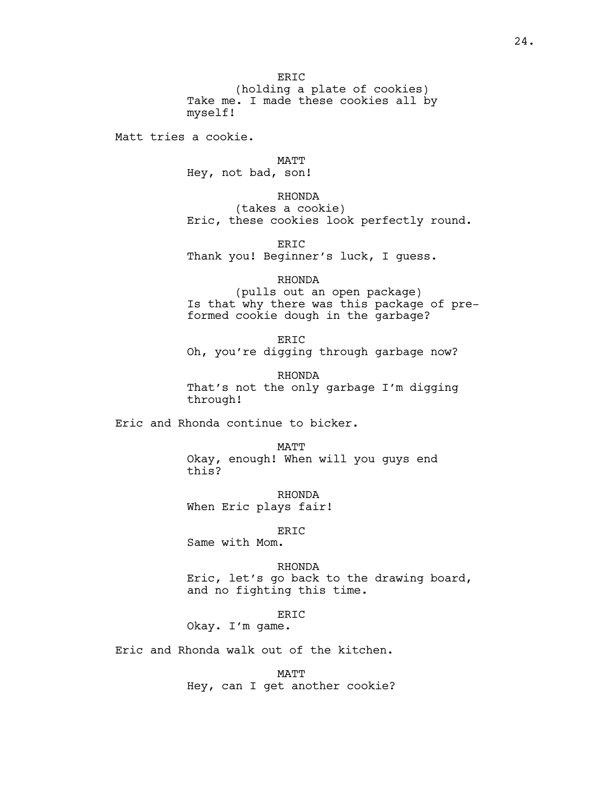**ERTC** (holding a plate of cookies) Take me. I made these cookies all by myself!

Matt tries a cookie.

MATT

Hey, not bad, son!

# RHONDA

(takes a cookie) Eric, these cookies look perfectly round.

ERIC Thank you! Beginner's luck, I guess.

# RHONDA

(pulls out an open package) Is that why there was this package of preformed cookie dough in the garbage?

**ERTC** Oh, you're digging through garbage now?

RHONDA That's not the only garbage I'm digging through!

Eric and Rhonda continue to bicker.

MATT Okay, enough! When will you guys end this?

RHONDA When Eric plays fair!

# ERIC

Same with Mom.

RHONDA

Eric, let's go back to the drawing board, and no fighting this time.

ERIC

Okay. I'm game.

Eric and Rhonda walk out of the kitchen.

MATT Hey, can I get another cookie?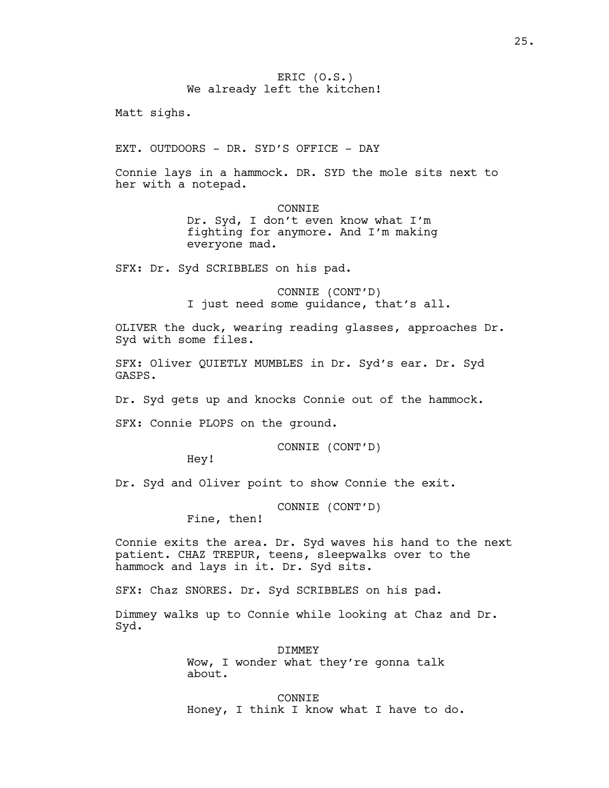Matt sighs.

EXT. OUTDOORS - DR. SYD'S OFFICE - DAY

Connie lays in a hammock. DR. SYD the mole sits next to her with a notepad.

> CONNIE Dr. Syd, I don't even know what I'm fighting for anymore. And I'm making everyone mad.

SFX: Dr. Syd SCRIBBLES on his pad.

CONNIE (CONT'D) I just need some guidance, that's all.

OLIVER the duck, wearing reading glasses, approaches Dr. Syd with some files.

SFX: Oliver QUIETLY MUMBLES in Dr. Syd's ear. Dr. Syd GASPS.

Dr. Syd gets up and knocks Connie out of the hammock.

SFX: Connie PLOPS on the ground.

CONNIE (CONT'D)

Hey!

Dr. Syd and Oliver point to show Connie the exit.

CONNIE (CONT'D)

Fine, then!

Connie exits the area. Dr. Syd waves his hand to the next patient. CHAZ TREPUR, teens, sleepwalks over to the hammock and lays in it. Dr. Syd sits.

SFX: Chaz SNORES. Dr. Syd SCRIBBLES on his pad.

Dimmey walks up to Connie while looking at Chaz and Dr. Syd.

**DIMMEY** 

Wow, I wonder what they're gonna talk about.

CONNIE Honey, I think I know what I have to do.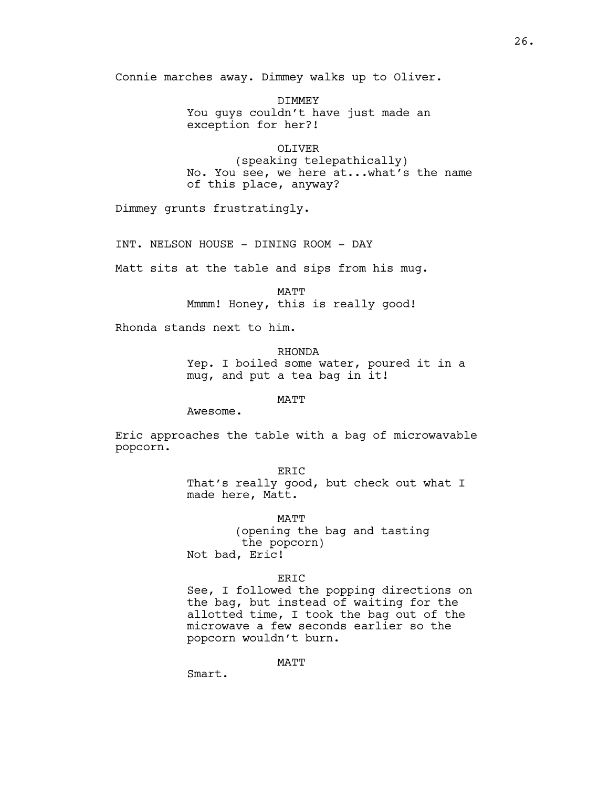Connie marches away. Dimmey walks up to Oliver.

DIMMEY You guys couldn't have just made an exception for her?!

OLIVER (speaking telepathically) No. You see, we here at...what's the name of this place, anyway?

Dimmey grunts frustratingly.

INT. NELSON HOUSE - DINING ROOM - DAY

Matt sits at the table and sips from his mug.

MATT Mmmm! Honey, this is really good!

Rhonda stands next to him.

RHONDA Yep. I boiled some water, poured it in a mug, and put a tea bag in it!

MATT

Awesome.

Eric approaches the table with a bag of microwavable popcorn.

ERIC

That's really good, but check out what I made here, Matt.

MATT (opening the bag and tasting the popcorn) Not bad, Eric!

**ERTC** 

See, I followed the popping directions on the bag, but instead of waiting for the allotted time, I took the bag out of the microwave a few seconds earlier so the popcorn wouldn't burn.

MATT

Smart.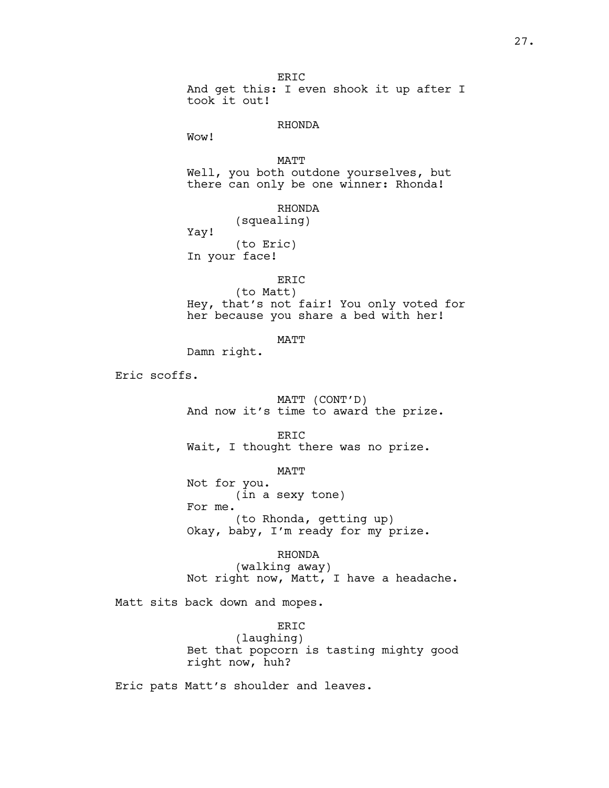ERIC And get this: I even shook it up after I took it out! RHONDA Wow! MATT Well, you both outdone yourselves, but there can only be one winner: Rhonda! RHONDA (squealing) Yay! (to Eric) In your face! ERIC (to Matt) Hey, that's not fair! You only voted for her because you share a bed with her! MATT Damn right. Eric scoffs. MATT (CONT'D) And now it's time to award the prize. ERIC Wait, I thought there was no prize. MATT Not for you. (in a sexy tone) For me. (to Rhonda, getting up) Okay, baby, I'm ready for my prize.

RHONDA (walking away) Not right now, Matt, I have a headache.

Matt sits back down and mopes.

ERIC (laughing) Bet that popcorn is tasting mighty good right now, huh?

Eric pats Matt's shoulder and leaves.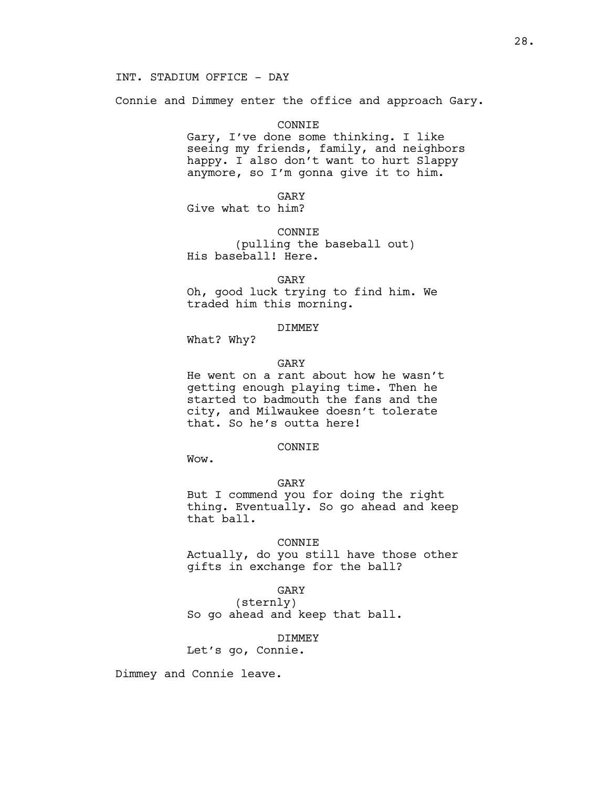# INT. STADIUM OFFICE - DAY

Connie and Dimmey enter the office and approach Gary.

#### CONNIE

Gary, I've done some thinking. I like seeing my friends, family, and neighbors happy. I also don't want to hurt Slappy anymore, so I'm gonna give it to him.

GARY

Give what to him?

CONNIE

(pulling the baseball out) His baseball! Here.

GARY

Oh, good luck trying to find him. We traded him this morning.

## DIMMEY

What? Why?

### GARY

He went on a rant about how he wasn't getting enough playing time. Then he started to badmouth the fans and the city, and Milwaukee doesn't tolerate that. So he's outta here!

## CONNIE

Wow.

## GARY

But I commend you for doing the right thing. Eventually. So go ahead and keep that ball.

# CONNIE

Actually, do you still have those other gifts in exchange for the ball?

## GARY

(sternly) So go ahead and keep that ball.

#### DIMMEY

Let's go, Connie.

Dimmey and Connie leave.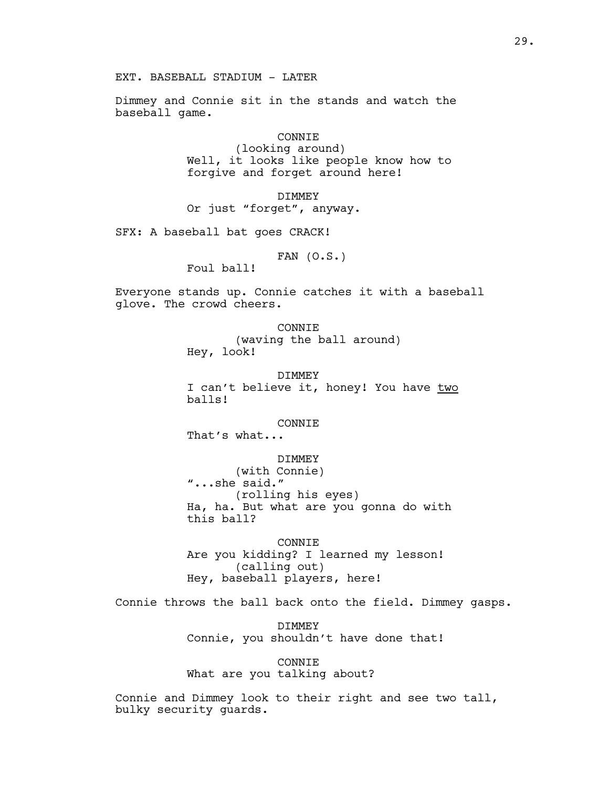EXT. BASEBALL STADIUM - LATER

Dimmey and Connie sit in the stands and watch the baseball game.

### CONNIE

(looking around) Well, it looks like people know how to forgive and forget around here!

DIMMEY Or just "forget", anyway.

SFX: A baseball bat goes CRACK!

FAN  $(0.S.)$ 

Foul ball!

Everyone stands up. Connie catches it with a baseball glove. The crowd cheers.

> CONNIE (waving the ball around) Hey, look!

DIMMEY I can't believe it, honey! You have two balls!

### CONNIE

That's what...

# DIMMEY

(with Connie) "...she said." (rolling his eyes) Ha, ha. But what are you gonna do with this ball?

CONNIE Are you kidding? I learned my lesson! (calling out) Hey, baseball players, here!

Connie throws the ball back onto the field. Dimmey gasps.

DIMMEY Connie, you shouldn't have done that!

CONNIE What are you talking about?

Connie and Dimmey look to their right and see two tall, bulky security guards.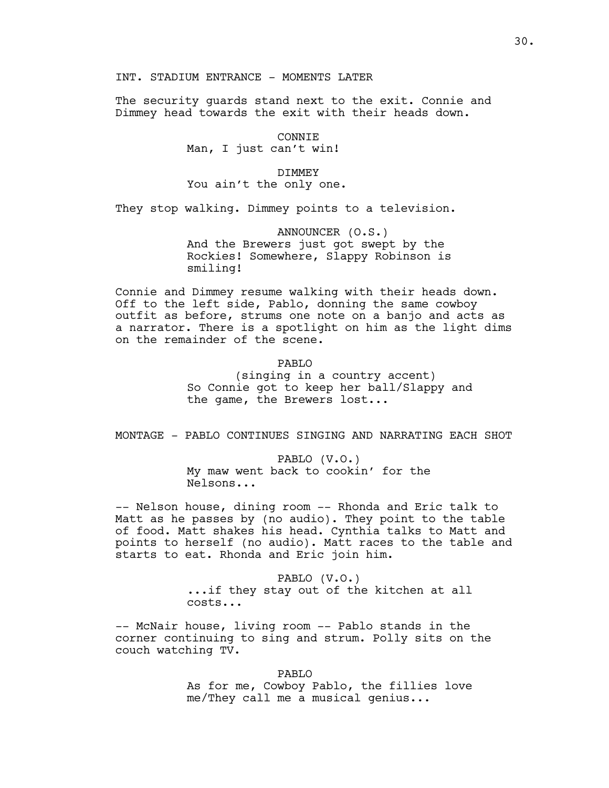# INT. STADIUM ENTRANCE - MOMENTS LATER

The security guards stand next to the exit. Connie and Dimmey head towards the exit with their heads down.

### CONNIE

# Man, I just can't win!

#### DIMMEY

# You ain't the only one.

They stop walking. Dimmey points to a television.

# ANNOUNCER (O.S.) And the Brewers just got swept by the Rockies! Somewhere, Slappy Robinson is smiling!

Connie and Dimmey resume walking with their heads down. Off to the left side, Pablo, donning the same cowboy outfit as before, strums one note on a banjo and acts as a narrator. There is a spotlight on him as the light dims on the remainder of the scene.

# PABLO

(singing in a country accent) So Connie got to keep her ball/Slappy and the game, the Brewers lost...

# MONTAGE - PABLO CONTINUES SINGING AND NARRATING EACH SHOT

PABLO (V.O.) My maw went back to cookin' for the Nelsons...

-- Nelson house, dining room -- Rhonda and Eric talk to Matt as he passes by (no audio). They point to the table of food. Matt shakes his head. Cynthia talks to Matt and points to herself (no audio). Matt races to the table and starts to eat. Rhonda and Eric join him.

> PABLO (V.O.) ...if they stay out of the kitchen at all costs...

-- McNair house, living room -- Pablo stands in the corner continuing to sing and strum. Polly sits on the couch watching TV.

> PABLO As for me, Cowboy Pablo, the fillies love me/They call me a musical genius...